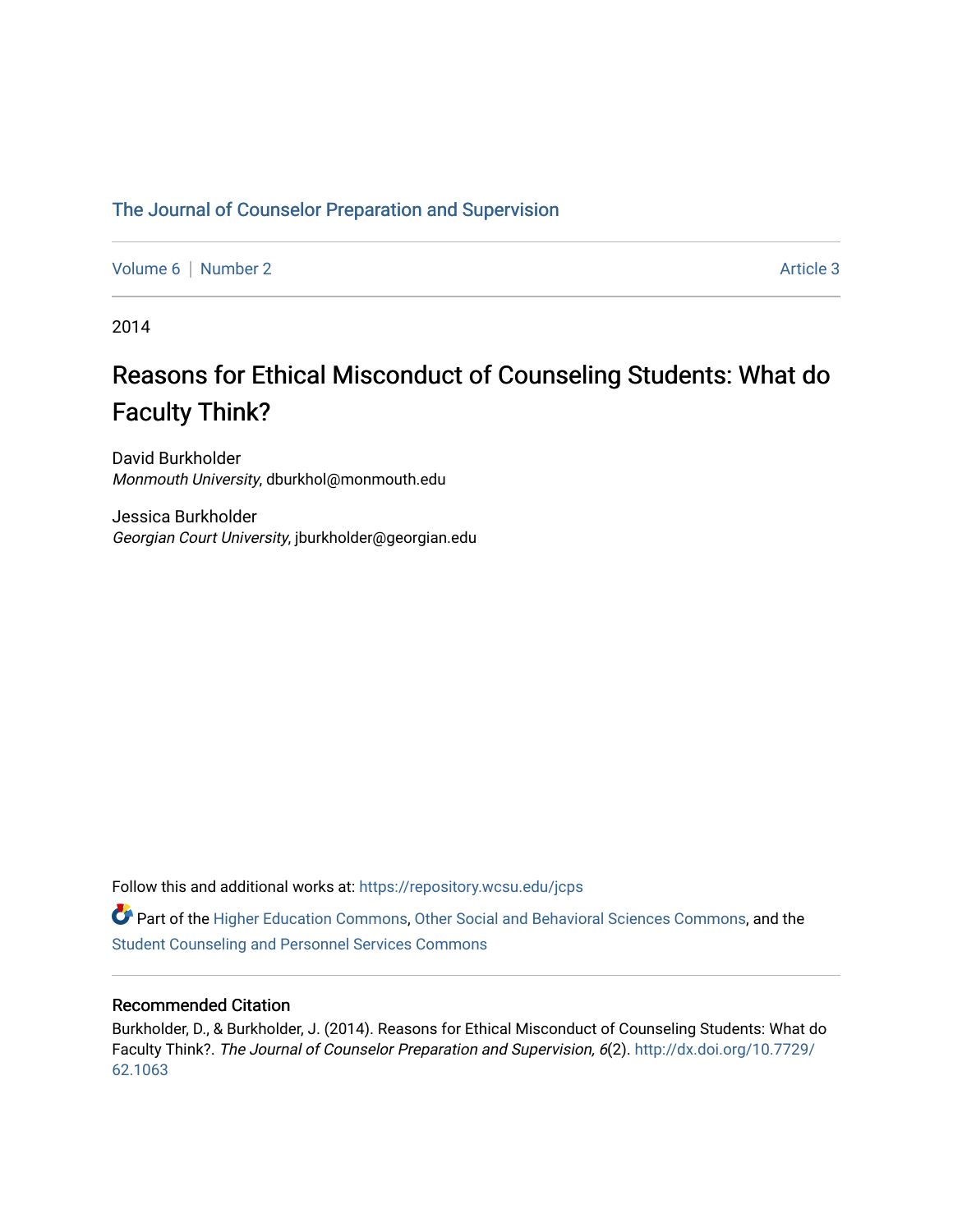# [The Journal of Counselor Preparation and Supervision](https://repository.wcsu.edu/jcps)

[Volume 6](https://repository.wcsu.edu/jcps/vol6) | [Number 2](https://repository.wcsu.edu/jcps/vol6/iss2) Article 3

2014

# Reasons for Ethical Misconduct of Counseling Students: What do Faculty Think?

David Burkholder Monmouth University, dburkhol@monmouth.edu

Jessica Burkholder Georgian Court University, jburkholder@georgian.edu

Follow this and additional works at: [https://repository.wcsu.edu/jcps](https://repository.wcsu.edu/jcps?utm_source=repository.wcsu.edu%2Fjcps%2Fvol6%2Fiss2%2F3&utm_medium=PDF&utm_campaign=PDFCoverPages) 

Part of the [Higher Education Commons,](http://network.bepress.com/hgg/discipline/1245?utm_source=repository.wcsu.edu%2Fjcps%2Fvol6%2Fiss2%2F3&utm_medium=PDF&utm_campaign=PDFCoverPages) [Other Social and Behavioral Sciences Commons,](http://network.bepress.com/hgg/discipline/437?utm_source=repository.wcsu.edu%2Fjcps%2Fvol6%2Fiss2%2F3&utm_medium=PDF&utm_campaign=PDFCoverPages) and the [Student Counseling and Personnel Services Commons](http://network.bepress.com/hgg/discipline/802?utm_source=repository.wcsu.edu%2Fjcps%2Fvol6%2Fiss2%2F3&utm_medium=PDF&utm_campaign=PDFCoverPages)

# Recommended Citation

Burkholder, D., & Burkholder, J. (2014). Reasons for Ethical Misconduct of Counseling Students: What do Faculty Think?. The Journal of Counselor Preparation and Supervision, 6(2). [http://dx.doi.org/10.7729/](http://dx.doi.org/10.7729/62.1063) [62.1063](http://dx.doi.org/10.7729/62.1063)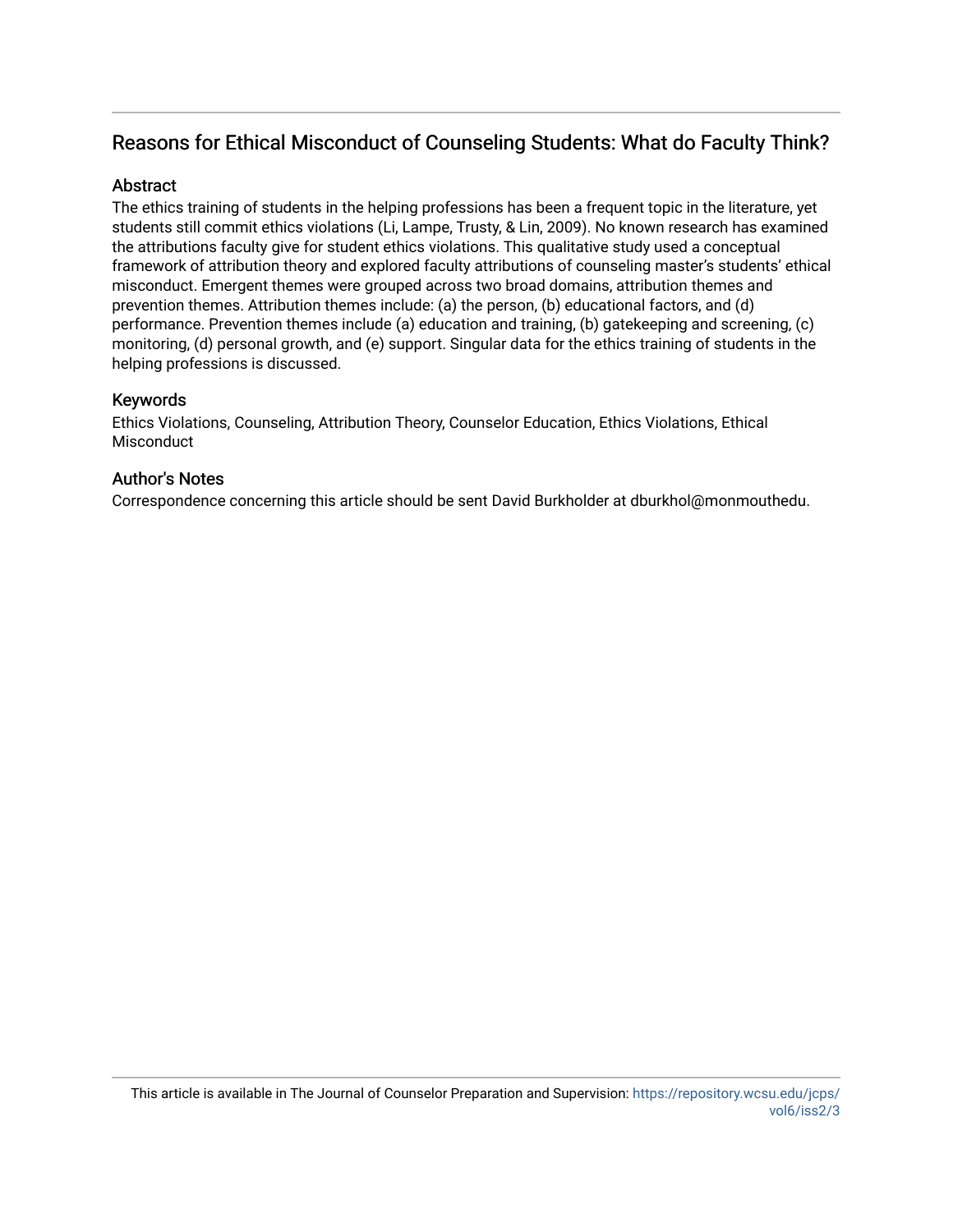# Reasons for Ethical Misconduct of Counseling Students: What do Faculty Think?

# **Abstract**

The ethics training of students in the helping professions has been a frequent topic in the literature, yet students still commit ethics violations (Li, Lampe, Trusty, & Lin, 2009). No known research has examined the attributions faculty give for student ethics violations. This qualitative study used a conceptual framework of attribution theory and explored faculty attributions of counseling master's students' ethical misconduct. Emergent themes were grouped across two broad domains, attribution themes and prevention themes. Attribution themes include: (a) the person, (b) educational factors, and (d) performance. Prevention themes include (a) education and training, (b) gatekeeping and screening, (c) monitoring, (d) personal growth, and (e) support. Singular data for the ethics training of students in the helping professions is discussed.

# Keywords

Ethics Violations, Counseling, Attribution Theory, Counselor Education, Ethics Violations, Ethical Misconduct

# Author's Notes

Correspondence concerning this article should be sent David Burkholder at dburkhol@monmouthedu.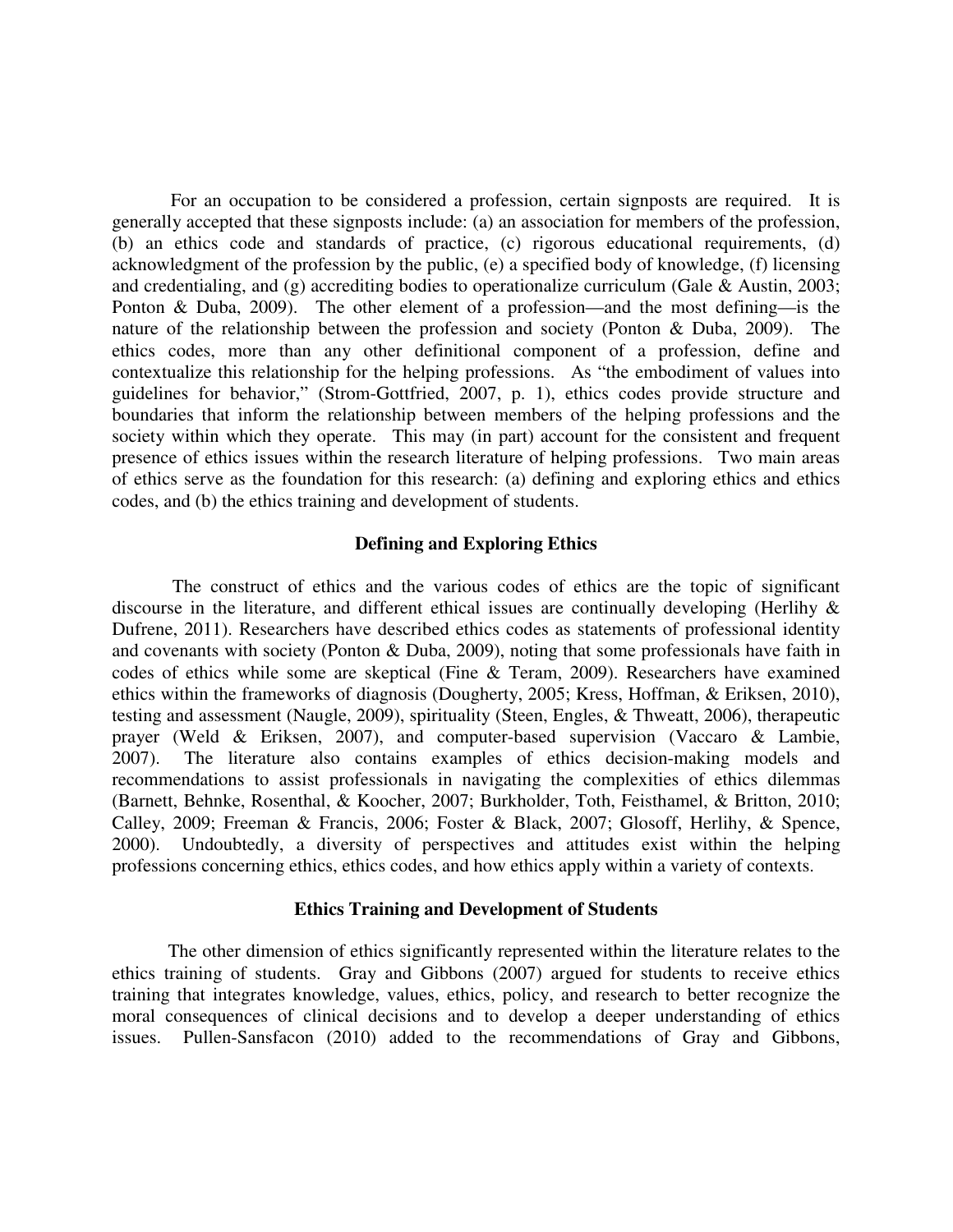For an occupation to be considered a profession, certain signposts are required. It is generally accepted that these signposts include: (a) an association for members of the profession, (b) an ethics code and standards of practice, (c) rigorous educational requirements, (d) acknowledgment of the profession by the public, (e) a specified body of knowledge, (f) licensing and credentialing, and (g) accrediting bodies to operationalize curriculum (Gale & Austin, 2003; Ponton & Duba, 2009). The other element of a profession—and the most defining—is the nature of the relationship between the profession and society (Ponton & Duba, 2009). The ethics codes, more than any other definitional component of a profession, define and contextualize this relationship for the helping professions. As "the embodiment of values into guidelines for behavior," (Strom-Gottfried, 2007, p. 1), ethics codes provide structure and boundaries that inform the relationship between members of the helping professions and the society within which they operate. This may (in part) account for the consistent and frequent presence of ethics issues within the research literature of helping professions. Two main areas of ethics serve as the foundation for this research: (a) defining and exploring ethics and ethics codes, and (b) the ethics training and development of students.

#### **Defining and Exploring Ethics**

 The construct of ethics and the various codes of ethics are the topic of significant discourse in the literature, and different ethical issues are continually developing (Herlihy & Dufrene, 2011). Researchers have described ethics codes as statements of professional identity and covenants with society (Ponton & Duba, 2009), noting that some professionals have faith in codes of ethics while some are skeptical (Fine & Teram, 2009). Researchers have examined ethics within the frameworks of diagnosis (Dougherty, 2005; Kress, Hoffman, & Eriksen, 2010), testing and assessment (Naugle, 2009), spirituality (Steen, Engles, & Thweatt, 2006), therapeutic prayer (Weld & Eriksen, 2007), and computer-based supervision (Vaccaro & Lambie, 2007). The literature also contains examples of ethics decision-making models and recommendations to assist professionals in navigating the complexities of ethics dilemmas (Barnett, Behnke, Rosenthal, & Koocher, 2007; Burkholder, Toth, Feisthamel, & Britton, 2010; Calley, 2009; Freeman & Francis, 2006; Foster & Black, 2007; Glosoff, Herlihy, & Spence, 2000). Undoubtedly, a diversity of perspectives and attitudes exist within the helping professions concerning ethics, ethics codes, and how ethics apply within a variety of contexts.

#### **Ethics Training and Development of Students**

The other dimension of ethics significantly represented within the literature relates to the ethics training of students. Gray and Gibbons (2007) argued for students to receive ethics training that integrates knowledge, values, ethics, policy, and research to better recognize the moral consequences of clinical decisions and to develop a deeper understanding of ethics issues. Pullen-Sansfacon (2010) added to the recommendations of Gray and Gibbons,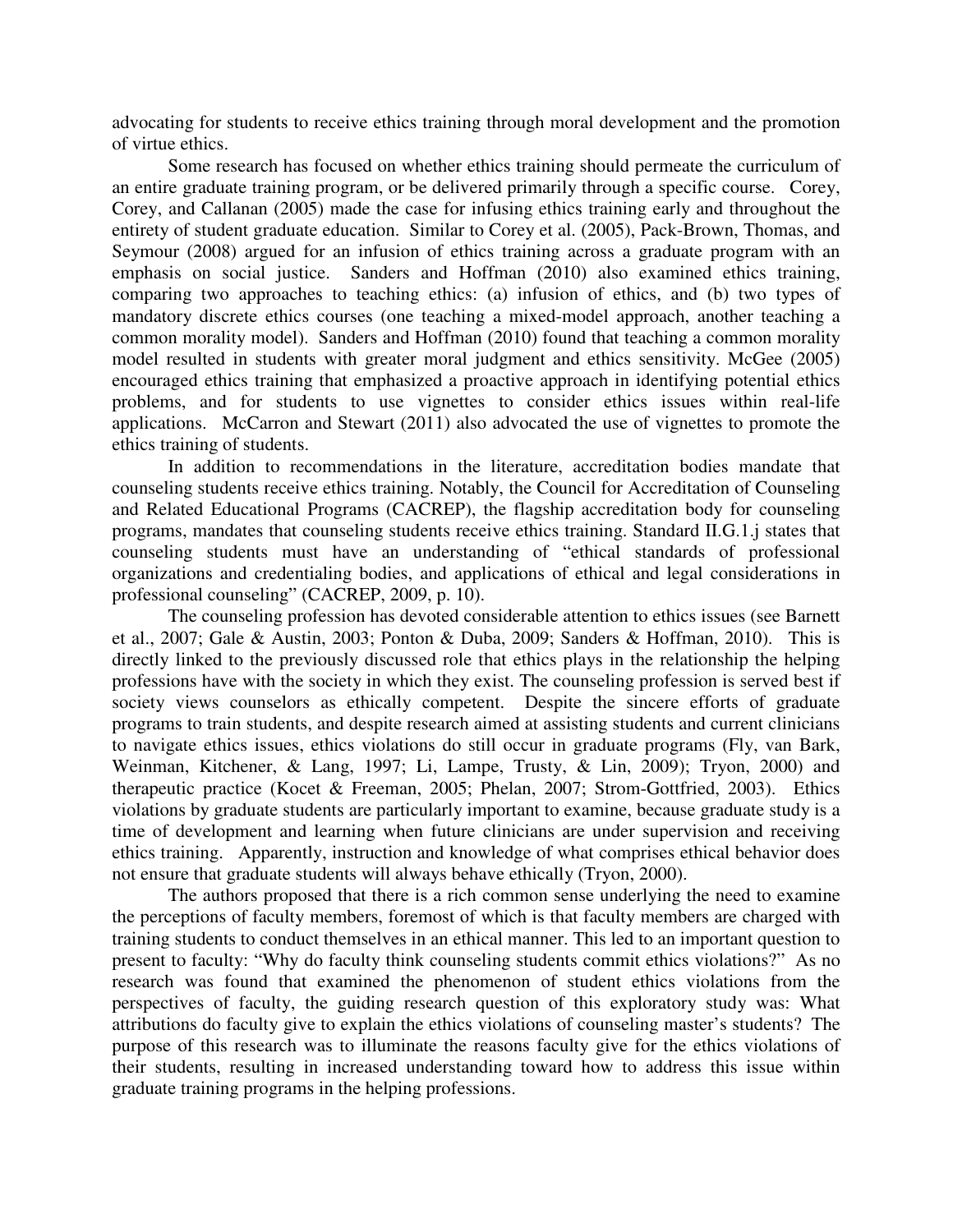advocating for students to receive ethics training through moral development and the promotion of virtue ethics.

Some research has focused on whether ethics training should permeate the curriculum of an entire graduate training program, or be delivered primarily through a specific course. Corey, Corey, and Callanan (2005) made the case for infusing ethics training early and throughout the entirety of student graduate education. Similar to Corey et al. (2005), Pack-Brown, Thomas, and Seymour (2008) argued for an infusion of ethics training across a graduate program with an emphasis on social justice. Sanders and Hoffman (2010) also examined ethics training, comparing two approaches to teaching ethics: (a) infusion of ethics, and (b) two types of mandatory discrete ethics courses (one teaching a mixed-model approach, another teaching a common morality model). Sanders and Hoffman (2010) found that teaching a common morality model resulted in students with greater moral judgment and ethics sensitivity. McGee (2005) encouraged ethics training that emphasized a proactive approach in identifying potential ethics problems, and for students to use vignettes to consider ethics issues within real-life applications. McCarron and Stewart (2011) also advocated the use of vignettes to promote the ethics training of students.

In addition to recommendations in the literature, accreditation bodies mandate that counseling students receive ethics training. Notably, the Council for Accreditation of Counseling and Related Educational Programs (CACREP), the flagship accreditation body for counseling programs, mandates that counseling students receive ethics training. Standard II.G.1.j states that counseling students must have an understanding of "ethical standards of professional organizations and credentialing bodies, and applications of ethical and legal considerations in professional counseling" (CACREP, 2009, p. 10).

The counseling profession has devoted considerable attention to ethics issues (see Barnett et al., 2007; Gale & Austin, 2003; Ponton & Duba, 2009; Sanders & Hoffman, 2010). This is directly linked to the previously discussed role that ethics plays in the relationship the helping professions have with the society in which they exist. The counseling profession is served best if society views counselors as ethically competent. Despite the sincere efforts of graduate programs to train students, and despite research aimed at assisting students and current clinicians to navigate ethics issues, ethics violations do still occur in graduate programs (Fly, van Bark, Weinman, Kitchener, & Lang, 1997; Li, Lampe, Trusty, & Lin, 2009); Tryon, 2000) and therapeutic practice (Kocet & Freeman, 2005; Phelan, 2007; Strom-Gottfried, 2003). Ethics violations by graduate students are particularly important to examine, because graduate study is a time of development and learning when future clinicians are under supervision and receiving ethics training. Apparently, instruction and knowledge of what comprises ethical behavior does not ensure that graduate students will always behave ethically (Tryon, 2000).

The authors proposed that there is a rich common sense underlying the need to examine the perceptions of faculty members, foremost of which is that faculty members are charged with training students to conduct themselves in an ethical manner. This led to an important question to present to faculty: "Why do faculty think counseling students commit ethics violations?" As no research was found that examined the phenomenon of student ethics violations from the perspectives of faculty, the guiding research question of this exploratory study was: What attributions do faculty give to explain the ethics violations of counseling master's students? The purpose of this research was to illuminate the reasons faculty give for the ethics violations of their students, resulting in increased understanding toward how to address this issue within graduate training programs in the helping professions.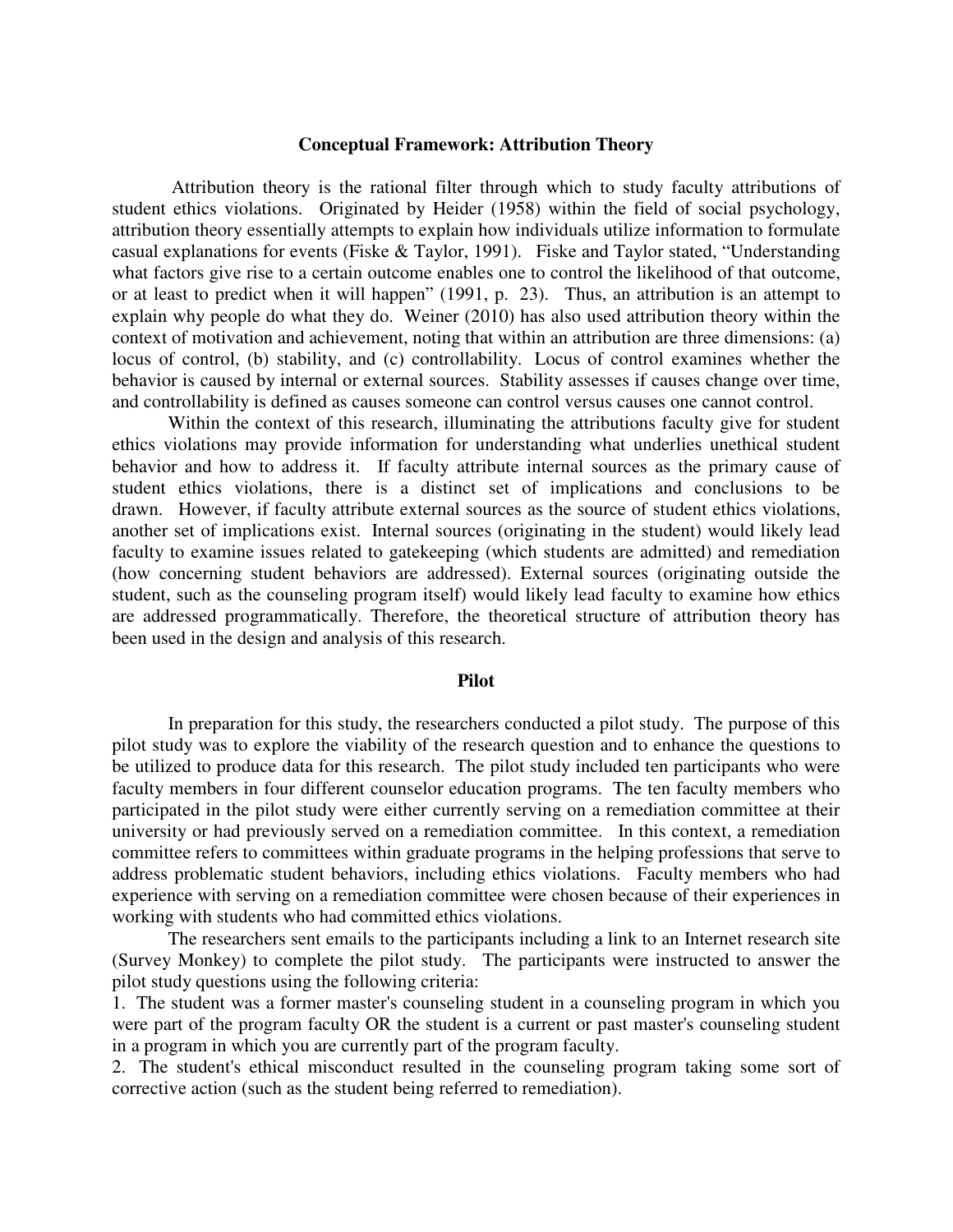#### **Conceptual Framework: Attribution Theory**

 Attribution theory is the rational filter through which to study faculty attributions of student ethics violations. Originated by Heider (1958) within the field of social psychology, attribution theory essentially attempts to explain how individuals utilize information to formulate casual explanations for events (Fiske & Taylor, 1991). Fiske and Taylor stated, "Understanding what factors give rise to a certain outcome enables one to control the likelihood of that outcome, or at least to predict when it will happen" (1991, p. 23). Thus, an attribution is an attempt to explain why people do what they do. Weiner (2010) has also used attribution theory within the context of motivation and achievement, noting that within an attribution are three dimensions: (a) locus of control, (b) stability, and (c) controllability. Locus of control examines whether the behavior is caused by internal or external sources. Stability assesses if causes change over time, and controllability is defined as causes someone can control versus causes one cannot control.

Within the context of this research, illuminating the attributions faculty give for student ethics violations may provide information for understanding what underlies unethical student behavior and how to address it. If faculty attribute internal sources as the primary cause of student ethics violations, there is a distinct set of implications and conclusions to be drawn. However, if faculty attribute external sources as the source of student ethics violations, another set of implications exist. Internal sources (originating in the student) would likely lead faculty to examine issues related to gatekeeping (which students are admitted) and remediation (how concerning student behaviors are addressed). External sources (originating outside the student, such as the counseling program itself) would likely lead faculty to examine how ethics are addressed programmatically. Therefore, the theoretical structure of attribution theory has been used in the design and analysis of this research.

#### **Pilot**

 In preparation for this study, the researchers conducted a pilot study. The purpose of this pilot study was to explore the viability of the research question and to enhance the questions to be utilized to produce data for this research. The pilot study included ten participants who were faculty members in four different counselor education programs. The ten faculty members who participated in the pilot study were either currently serving on a remediation committee at their university or had previously served on a remediation committee. In this context, a remediation committee refers to committees within graduate programs in the helping professions that serve to address problematic student behaviors, including ethics violations. Faculty members who had experience with serving on a remediation committee were chosen because of their experiences in working with students who had committed ethics violations.

 The researchers sent emails to the participants including a link to an Internet research site (Survey Monkey) to complete the pilot study. The participants were instructed to answer the pilot study questions using the following criteria:

1. The student was a former master's counseling student in a counseling program in which you were part of the program faculty OR the student is a current or past master's counseling student in a program in which you are currently part of the program faculty.

2. The student's ethical misconduct resulted in the counseling program taking some sort of corrective action (such as the student being referred to remediation).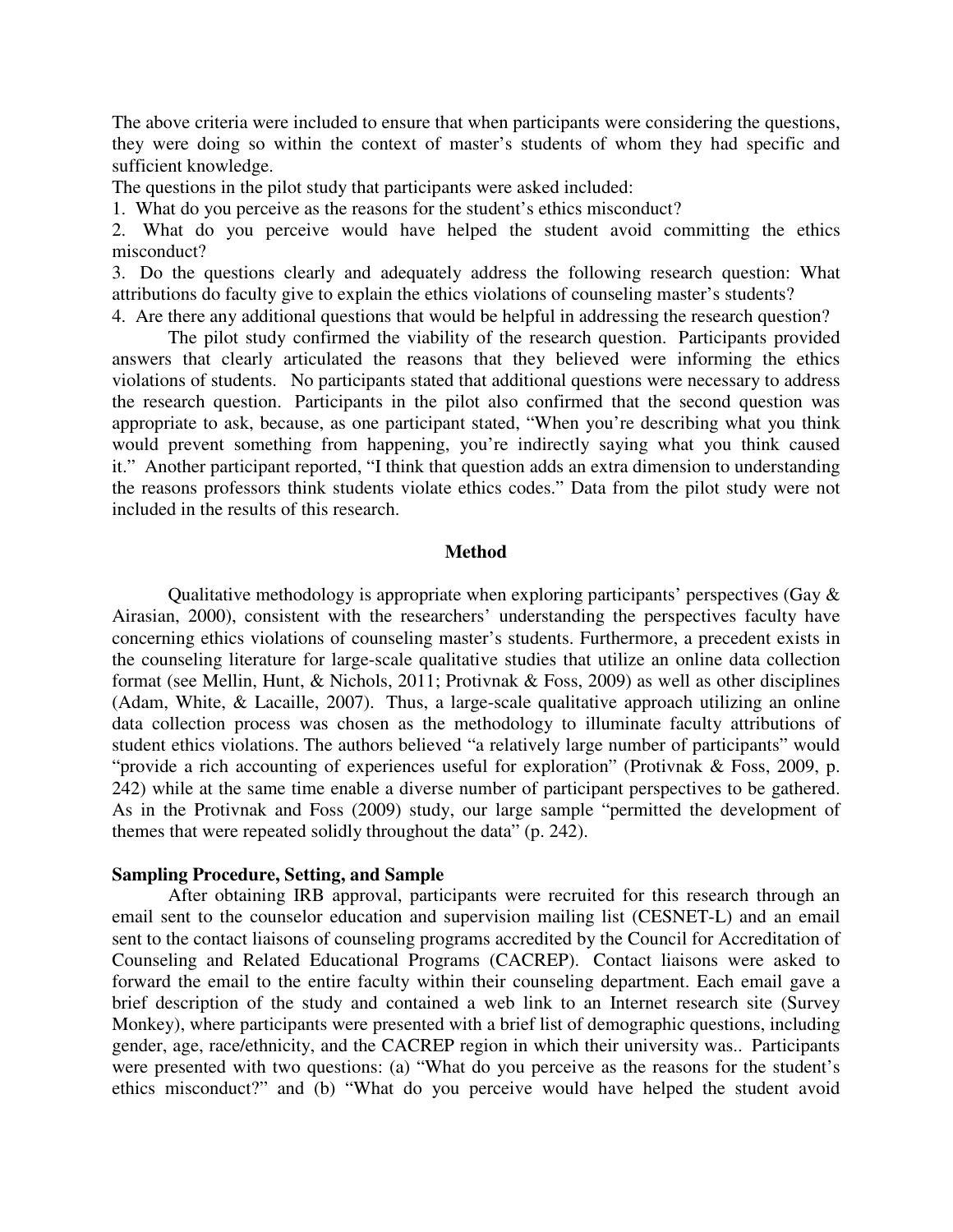The above criteria were included to ensure that when participants were considering the questions, they were doing so within the context of master's students of whom they had specific and sufficient knowledge.

The questions in the pilot study that participants were asked included:

1. What do you perceive as the reasons for the student's ethics misconduct?

2. What do you perceive would have helped the student avoid committing the ethics misconduct?

3. Do the questions clearly and adequately address the following research question: What attributions do faculty give to explain the ethics violations of counseling master's students?

4. Are there any additional questions that would be helpful in addressing the research question?

 The pilot study confirmed the viability of the research question. Participants provided answers that clearly articulated the reasons that they believed were informing the ethics violations of students. No participants stated that additional questions were necessary to address the research question. Participants in the pilot also confirmed that the second question was appropriate to ask, because, as one participant stated, "When you're describing what you think would prevent something from happening, you're indirectly saying what you think caused it." Another participant reported, "I think that question adds an extra dimension to understanding the reasons professors think students violate ethics codes." Data from the pilot study were not included in the results of this research.

#### **Method**

Qualitative methodology is appropriate when exploring participants' perspectives (Gay  $\&$ Airasian, 2000), consistent with the researchers' understanding the perspectives faculty have concerning ethics violations of counseling master's students. Furthermore, a precedent exists in the counseling literature for large-scale qualitative studies that utilize an online data collection format (see Mellin, Hunt, & Nichols, 2011; Protivnak & Foss, 2009) as well as other disciplines (Adam, White, & Lacaille, 2007). Thus, a large-scale qualitative approach utilizing an online data collection process was chosen as the methodology to illuminate faculty attributions of student ethics violations. The authors believed "a relatively large number of participants" would "provide a rich accounting of experiences useful for exploration" (Protivnak & Foss, 2009, p. 242) while at the same time enable a diverse number of participant perspectives to be gathered. As in the Protivnak and Foss (2009) study, our large sample "permitted the development of themes that were repeated solidly throughout the data" (p. 242).

#### **Sampling Procedure, Setting, and Sample**

After obtaining IRB approval, participants were recruited for this research through an email sent to the counselor education and supervision mailing list (CESNET-L) and an email sent to the contact liaisons of counseling programs accredited by the Council for Accreditation of Counseling and Related Educational Programs (CACREP). Contact liaisons were asked to forward the email to the entire faculty within their counseling department. Each email gave a brief description of the study and contained a web link to an Internet research site (Survey Monkey), where participants were presented with a brief list of demographic questions, including gender, age, race/ethnicity, and the CACREP region in which their university was.. Participants were presented with two questions: (a) "What do you perceive as the reasons for the student's ethics misconduct?" and (b) "What do you perceive would have helped the student avoid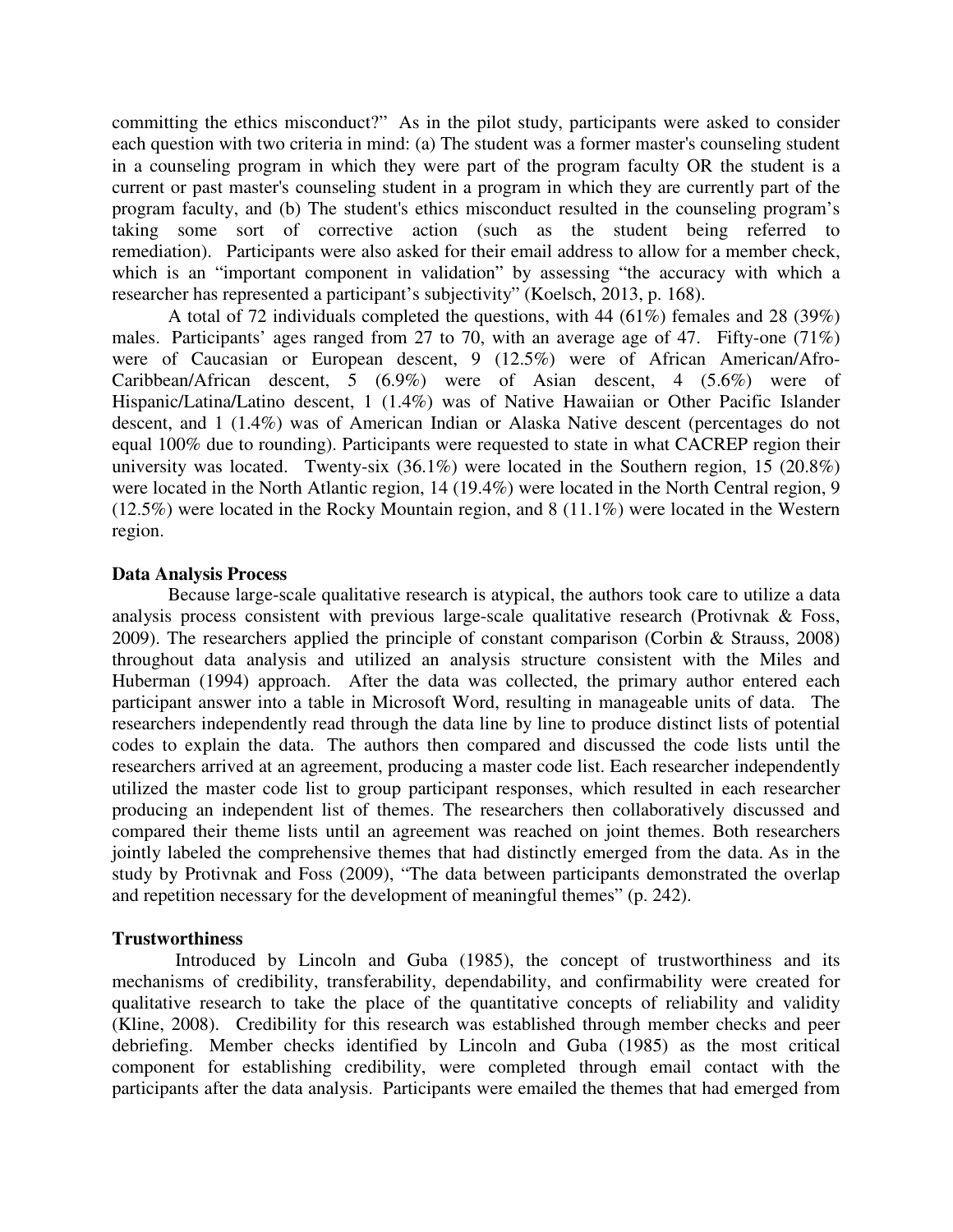committing the ethics misconduct?" As in the pilot study, participants were asked to consider each question with two criteria in mind: (a) The student was a former master's counseling student in a counseling program in which they were part of the program faculty OR the student is a current or past master's counseling student in a program in which they are currently part of the program faculty, and (b) The student's ethics misconduct resulted in the counseling program's taking some sort of corrective action (such as the student being referred to remediation). Participants were also asked for their email address to allow for a member check, which is an "important component in validation" by assessing "the accuracy with which a researcher has represented a participant's subjectivity" (Koelsch, 2013, p. 168).

 A total of 72 individuals completed the questions, with 44 (61%) females and 28 (39%) males. Participants' ages ranged from 27 to 70, with an average age of 47. Fifty-one (71%) were of Caucasian or European descent, 9 (12.5%) were of African American/Afro-Caribbean/African descent, 5 (6.9%) were of Asian descent, 4 (5.6%) were of Hispanic/Latina/Latino descent, 1 (1.4%) was of Native Hawaiian or Other Pacific Islander descent, and 1 (1.4%) was of American Indian or Alaska Native descent (percentages do not equal 100% due to rounding). Participants were requested to state in what CACREP region their university was located. Twenty-six (36.1%) were located in the Southern region, 15 (20.8%) were located in the North Atlantic region, 14 (19.4%) were located in the North Central region, 9 (12.5%) were located in the Rocky Mountain region, and 8 (11.1%) were located in the Western region.

# **Data Analysis Process**

 Because large-scale qualitative research is atypical, the authors took care to utilize a data analysis process consistent with previous large-scale qualitative research (Protivnak & Foss, 2009). The researchers applied the principle of constant comparison (Corbin & Strauss, 2008) throughout data analysis and utilized an analysis structure consistent with the Miles and Huberman (1994) approach. After the data was collected, the primary author entered each participant answer into a table in Microsoft Word, resulting in manageable units of data. The researchers independently read through the data line by line to produce distinct lists of potential codes to explain the data. The authors then compared and discussed the code lists until the researchers arrived at an agreement, producing a master code list. Each researcher independently utilized the master code list to group participant responses, which resulted in each researcher producing an independent list of themes. The researchers then collaboratively discussed and compared their theme lists until an agreement was reached on joint themes. Both researchers jointly labeled the comprehensive themes that had distinctly emerged from the data. As in the study by Protivnak and Foss (2009), "The data between participants demonstrated the overlap and repetition necessary for the development of meaningful themes" (p. 242).

#### **Trustworthiness**

 Introduced by Lincoln and Guba (1985), the concept of trustworthiness and its mechanisms of credibility, transferability, dependability, and confirmability were created for qualitative research to take the place of the quantitative concepts of reliability and validity (Kline, 2008). Credibility for this research was established through member checks and peer debriefing. Member checks identified by Lincoln and Guba (1985) as the most critical component for establishing credibility, were completed through email contact with the participants after the data analysis. Participants were emailed the themes that had emerged from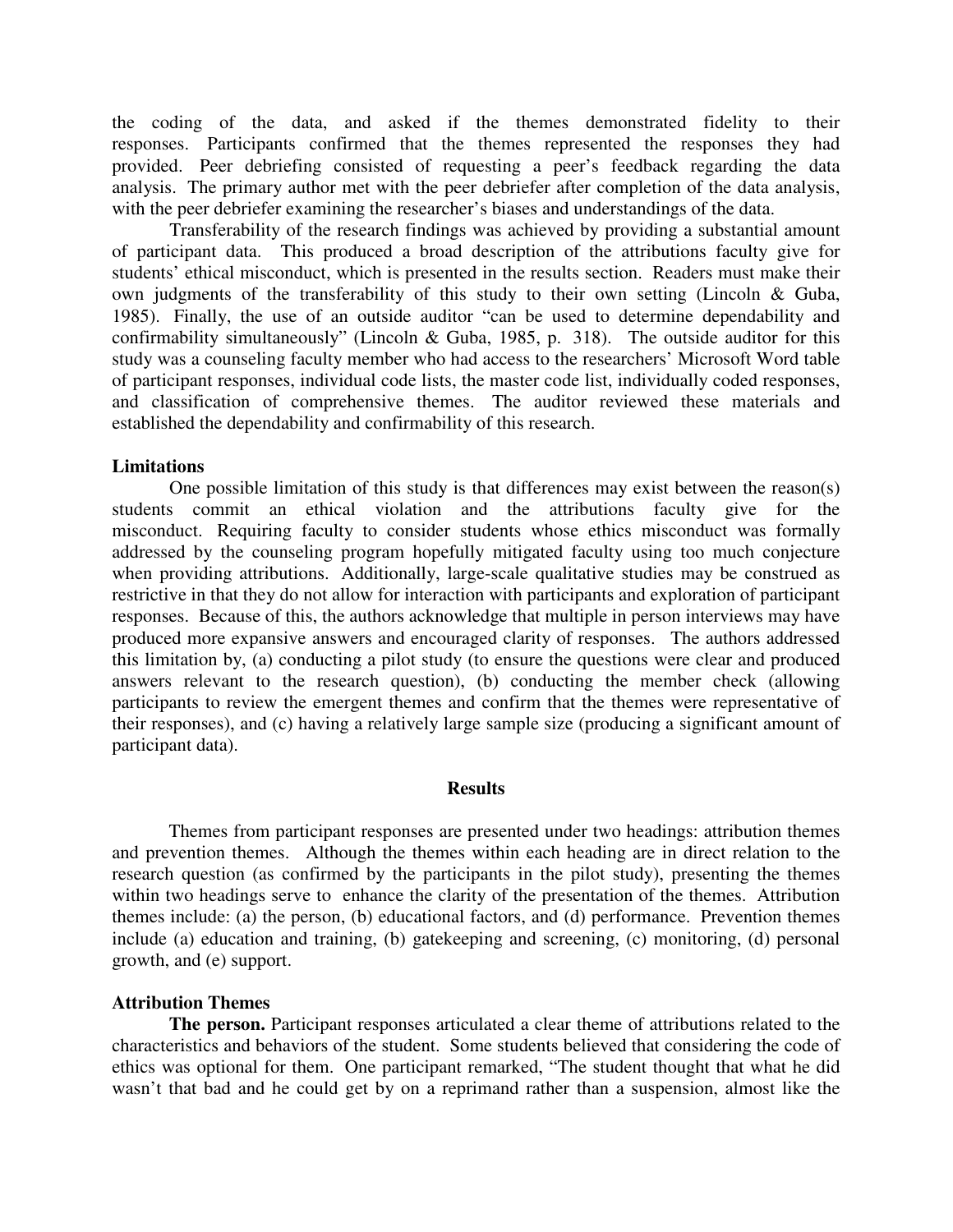the coding of the data, and asked if the themes demonstrated fidelity to their responses. Participants confirmed that the themes represented the responses they had provided. Peer debriefing consisted of requesting a peer's feedback regarding the data analysis. The primary author met with the peer debriefer after completion of the data analysis, with the peer debriefer examining the researcher's biases and understandings of the data.

 Transferability of the research findings was achieved by providing a substantial amount of participant data. This produced a broad description of the attributions faculty give for students' ethical misconduct, which is presented in the results section. Readers must make their own judgments of the transferability of this study to their own setting (Lincoln & Guba, 1985). Finally, the use of an outside auditor "can be used to determine dependability and confirmability simultaneously" (Lincoln & Guba, 1985, p. 318). The outside auditor for this study was a counseling faculty member who had access to the researchers' Microsoft Word table of participant responses, individual code lists, the master code list, individually coded responses, and classification of comprehensive themes. The auditor reviewed these materials and established the dependability and confirmability of this research.

#### **Limitations**

 One possible limitation of this study is that differences may exist between the reason(s) students commit an ethical violation and the attributions faculty give for the misconduct. Requiring faculty to consider students whose ethics misconduct was formally addressed by the counseling program hopefully mitigated faculty using too much conjecture when providing attributions. Additionally, large-scale qualitative studies may be construed as restrictive in that they do not allow for interaction with participants and exploration of participant responses. Because of this, the authors acknowledge that multiple in person interviews may have produced more expansive answers and encouraged clarity of responses. The authors addressed this limitation by, (a) conducting a pilot study (to ensure the questions were clear and produced answers relevant to the research question), (b) conducting the member check (allowing participants to review the emergent themes and confirm that the themes were representative of their responses), and (c) having a relatively large sample size (producing a significant amount of participant data).

#### **Results**

 Themes from participant responses are presented under two headings: attribution themes and prevention themes. Although the themes within each heading are in direct relation to the research question (as confirmed by the participants in the pilot study), presenting the themes within two headings serve to enhance the clarity of the presentation of the themes. Attribution themes include: (a) the person, (b) educational factors, and (d) performance. Prevention themes include (a) education and training, (b) gatekeeping and screening, (c) monitoring, (d) personal growth, and (e) support.

#### **Attribution Themes**

 **The person.** Participant responses articulated a clear theme of attributions related to the characteristics and behaviors of the student. Some students believed that considering the code of ethics was optional for them. One participant remarked, "The student thought that what he did wasn't that bad and he could get by on a reprimand rather than a suspension, almost like the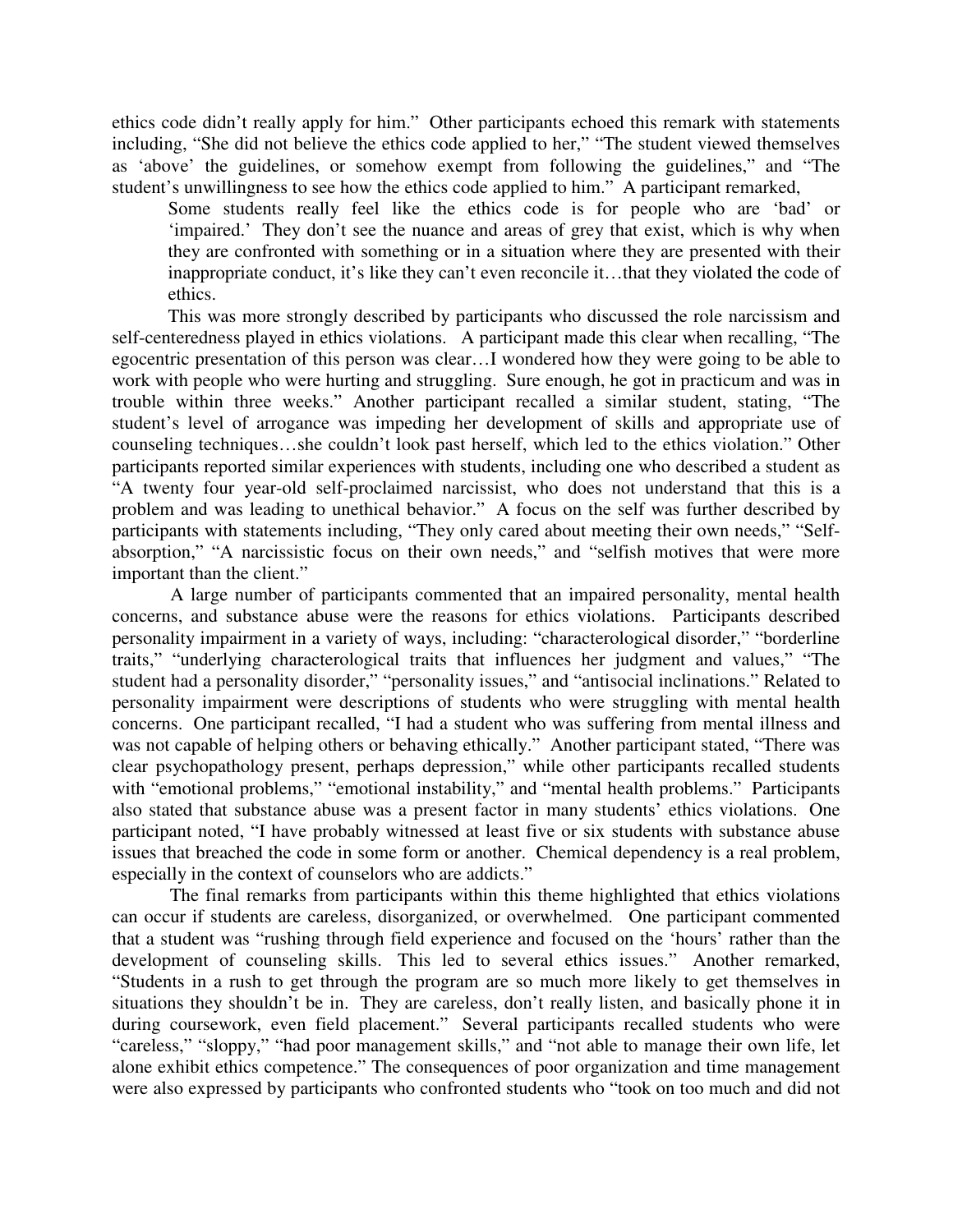ethics code didn't really apply for him." Other participants echoed this remark with statements including, "She did not believe the ethics code applied to her," "The student viewed themselves as 'above' the guidelines, or somehow exempt from following the guidelines," and "The student's unwillingness to see how the ethics code applied to him." A participant remarked,

Some students really feel like the ethics code is for people who are 'bad' or 'impaired.' They don't see the nuance and areas of grey that exist, which is why when they are confronted with something or in a situation where they are presented with their inappropriate conduct, it's like they can't even reconcile it…that they violated the code of ethics.

This was more strongly described by participants who discussed the role narcissism and self-centeredness played in ethics violations. A participant made this clear when recalling, "The egocentric presentation of this person was clear…I wondered how they were going to be able to work with people who were hurting and struggling. Sure enough, he got in practicum and was in trouble within three weeks." Another participant recalled a similar student, stating, "The student's level of arrogance was impeding her development of skills and appropriate use of counseling techniques…she couldn't look past herself, which led to the ethics violation." Other participants reported similar experiences with students, including one who described a student as "A twenty four year-old self-proclaimed narcissist, who does not understand that this is a problem and was leading to unethical behavior." A focus on the self was further described by participants with statements including, "They only cared about meeting their own needs," "Selfabsorption," "A narcissistic focus on their own needs," and "selfish motives that were more important than the client."

 A large number of participants commented that an impaired personality, mental health concerns, and substance abuse were the reasons for ethics violations. Participants described personality impairment in a variety of ways, including: "characterological disorder," "borderline traits," "underlying characterological traits that influences her judgment and values," "The student had a personality disorder," "personality issues," and "antisocial inclinations." Related to personality impairment were descriptions of students who were struggling with mental health concerns. One participant recalled, "I had a student who was suffering from mental illness and was not capable of helping others or behaving ethically." Another participant stated, "There was clear psychopathology present, perhaps depression," while other participants recalled students with "emotional problems," "emotional instability," and "mental health problems." Participants also stated that substance abuse was a present factor in many students' ethics violations. One participant noted, "I have probably witnessed at least five or six students with substance abuse issues that breached the code in some form or another. Chemical dependency is a real problem, especially in the context of counselors who are addicts."

 The final remarks from participants within this theme highlighted that ethics violations can occur if students are careless, disorganized, or overwhelmed. One participant commented that a student was "rushing through field experience and focused on the 'hours' rather than the development of counseling skills. This led to several ethics issues." Another remarked, "Students in a rush to get through the program are so much more likely to get themselves in situations they shouldn't be in. They are careless, don't really listen, and basically phone it in during coursework, even field placement." Several participants recalled students who were "careless," "sloppy," "had poor management skills," and "not able to manage their own life, let alone exhibit ethics competence." The consequences of poor organization and time management were also expressed by participants who confronted students who "took on too much and did not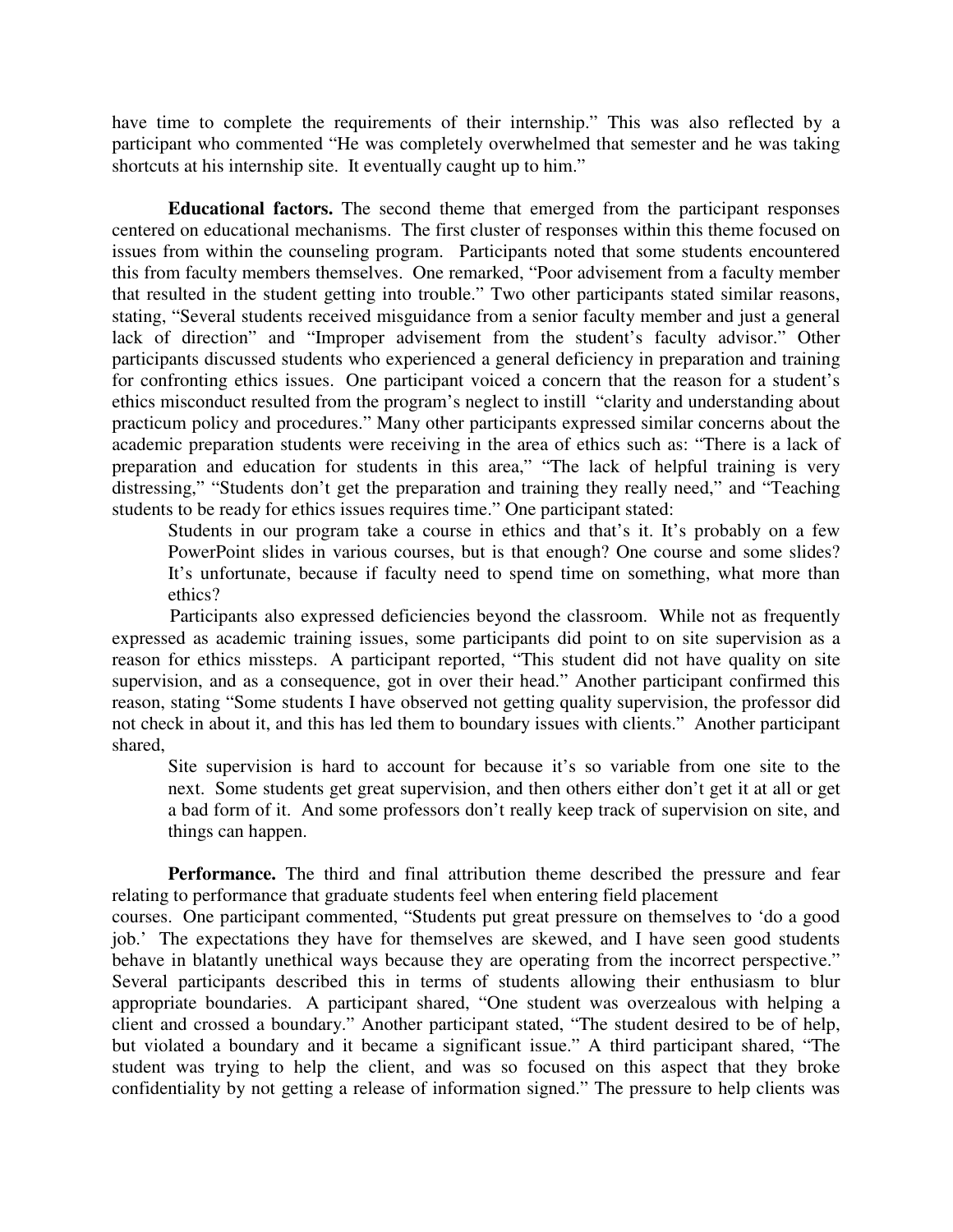have time to complete the requirements of their internship." This was also reflected by a participant who commented "He was completely overwhelmed that semester and he was taking shortcuts at his internship site. It eventually caught up to him."

**Educational factors.** The second theme that emerged from the participant responses centered on educational mechanisms. The first cluster of responses within this theme focused on issues from within the counseling program. Participants noted that some students encountered this from faculty members themselves. One remarked, "Poor advisement from a faculty member that resulted in the student getting into trouble." Two other participants stated similar reasons, stating, "Several students received misguidance from a senior faculty member and just a general lack of direction" and "Improper advisement from the student's faculty advisor." Other participants discussed students who experienced a general deficiency in preparation and training for confronting ethics issues. One participant voiced a concern that the reason for a student's ethics misconduct resulted from the program's neglect to instill "clarity and understanding about practicum policy and procedures." Many other participants expressed similar concerns about the academic preparation students were receiving in the area of ethics such as: "There is a lack of preparation and education for students in this area," "The lack of helpful training is very distressing," "Students don't get the preparation and training they really need," and "Teaching students to be ready for ethics issues requires time." One participant stated:

Students in our program take a course in ethics and that's it. It's probably on a few PowerPoint slides in various courses, but is that enough? One course and some slides? It's unfortunate, because if faculty need to spend time on something, what more than ethics?

 Participants also expressed deficiencies beyond the classroom. While not as frequently expressed as academic training issues, some participants did point to on site supervision as a reason for ethics missteps. A participant reported, "This student did not have quality on site supervision, and as a consequence, got in over their head." Another participant confirmed this reason, stating "Some students I have observed not getting quality supervision, the professor did not check in about it, and this has led them to boundary issues with clients." Another participant shared,

Site supervision is hard to account for because it's so variable from one site to the next. Some students get great supervision, and then others either don't get it at all or get a bad form of it. And some professors don't really keep track of supervision on site, and things can happen.

**Performance.** The third and final attribution theme described the pressure and fear relating to performance that graduate students feel when entering field placement

courses. One participant commented, "Students put great pressure on themselves to 'do a good job.' The expectations they have for themselves are skewed, and I have seen good students behave in blatantly unethical ways because they are operating from the incorrect perspective." Several participants described this in terms of students allowing their enthusiasm to blur appropriate boundaries. A participant shared, "One student was overzealous with helping a client and crossed a boundary." Another participant stated, "The student desired to be of help, but violated a boundary and it became a significant issue." A third participant shared, "The student was trying to help the client, and was so focused on this aspect that they broke confidentiality by not getting a release of information signed." The pressure to help clients was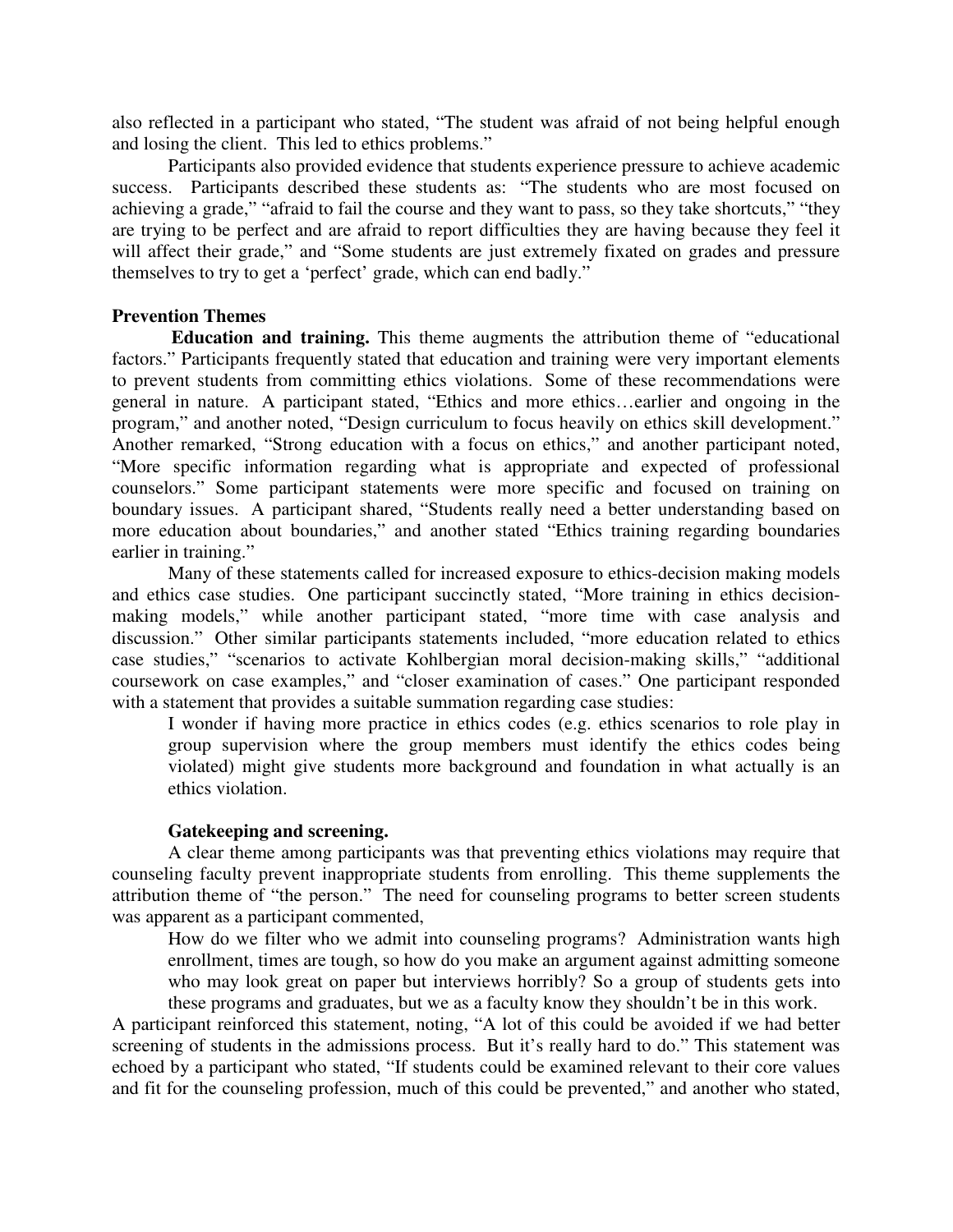also reflected in a participant who stated, "The student was afraid of not being helpful enough and losing the client. This led to ethics problems."

 Participants also provided evidence that students experience pressure to achieve academic success. Participants described these students as: "The students who are most focused on achieving a grade," "afraid to fail the course and they want to pass, so they take shortcuts," "they are trying to be perfect and are afraid to report difficulties they are having because they feel it will affect their grade," and "Some students are just extremely fixated on grades and pressure themselves to try to get a 'perfect' grade, which can end badly."

# **Prevention Themes**

 **Education and training.** This theme augments the attribution theme of "educational factors." Participants frequently stated that education and training were very important elements to prevent students from committing ethics violations. Some of these recommendations were general in nature. A participant stated, "Ethics and more ethics…earlier and ongoing in the program," and another noted, "Design curriculum to focus heavily on ethics skill development." Another remarked, "Strong education with a focus on ethics," and another participant noted, "More specific information regarding what is appropriate and expected of professional counselors." Some participant statements were more specific and focused on training on boundary issues. A participant shared, "Students really need a better understanding based on more education about boundaries," and another stated "Ethics training regarding boundaries earlier in training."

Many of these statements called for increased exposure to ethics-decision making models and ethics case studies. One participant succinctly stated, "More training in ethics decisionmaking models," while another participant stated, "more time with case analysis and discussion." Other similar participants statements included, "more education related to ethics case studies," "scenarios to activate Kohlbergian moral decision-making skills," "additional coursework on case examples," and "closer examination of cases." One participant responded with a statement that provides a suitable summation regarding case studies:

I wonder if having more practice in ethics codes (e.g. ethics scenarios to role play in group supervision where the group members must identify the ethics codes being violated) might give students more background and foundation in what actually is an ethics violation.

# **Gatekeeping and screening.**

A clear theme among participants was that preventing ethics violations may require that counseling faculty prevent inappropriate students from enrolling. This theme supplements the attribution theme of "the person." The need for counseling programs to better screen students was apparent as a participant commented,

How do we filter who we admit into counseling programs? Administration wants high enrollment, times are tough, so how do you make an argument against admitting someone who may look great on paper but interviews horribly? So a group of students gets into these programs and graduates, but we as a faculty know they shouldn't be in this work.

A participant reinforced this statement, noting, "A lot of this could be avoided if we had better screening of students in the admissions process. But it's really hard to do." This statement was echoed by a participant who stated, "If students could be examined relevant to their core values and fit for the counseling profession, much of this could be prevented," and another who stated,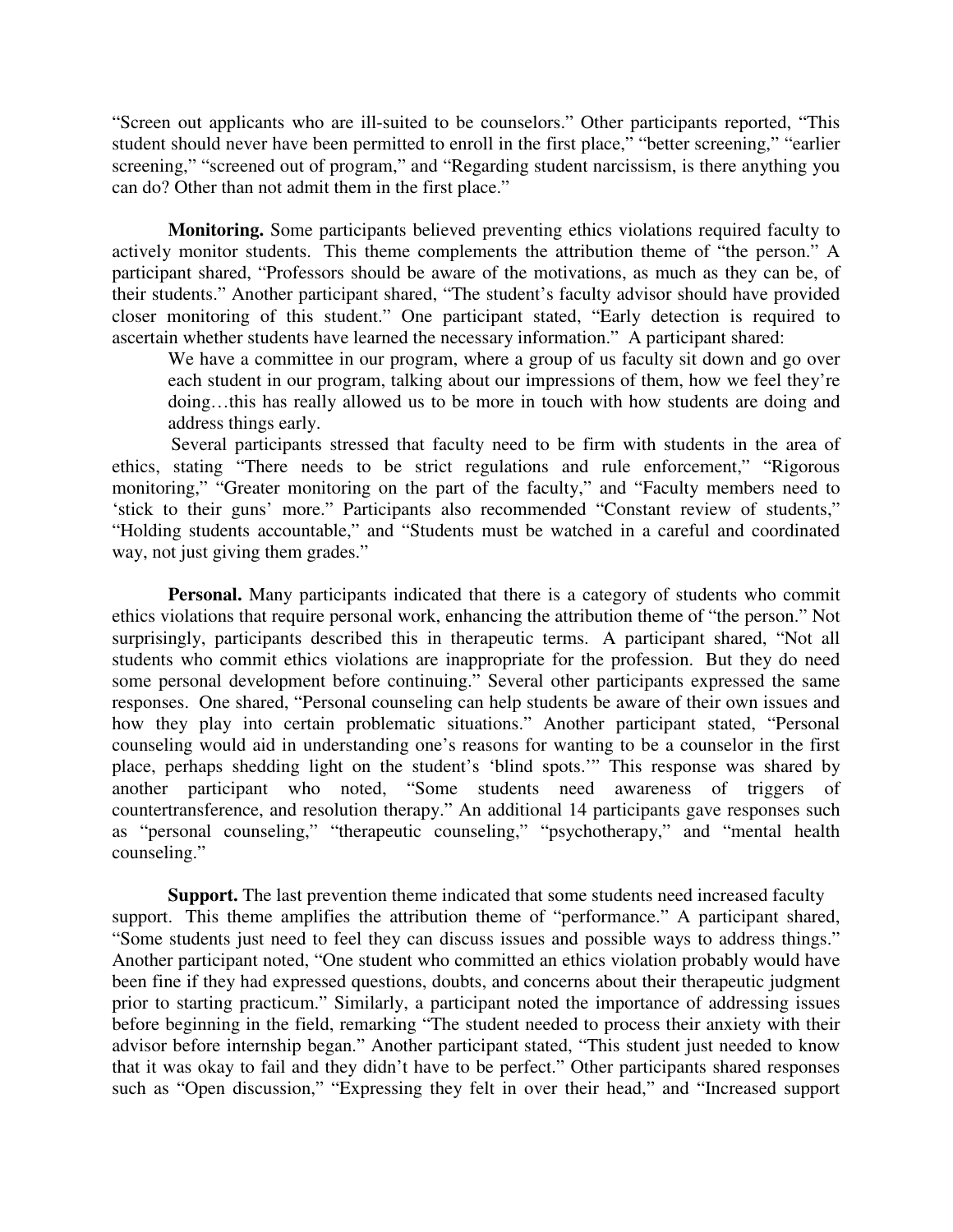"Screen out applicants who are ill-suited to be counselors." Other participants reported, "This student should never have been permitted to enroll in the first place," "better screening," "earlier screening," "screened out of program," and "Regarding student narcissism, is there anything you can do? Other than not admit them in the first place."

**Monitoring.** Some participants believed preventing ethics violations required faculty to actively monitor students. This theme complements the attribution theme of "the person." A participant shared, "Professors should be aware of the motivations, as much as they can be, of their students." Another participant shared, "The student's faculty advisor should have provided closer monitoring of this student." One participant stated, "Early detection is required to ascertain whether students have learned the necessary information." A participant shared:

We have a committee in our program, where a group of us faculty sit down and go over each student in our program, talking about our impressions of them, how we feel they're doing…this has really allowed us to be more in touch with how students are doing and address things early.

 Several participants stressed that faculty need to be firm with students in the area of ethics, stating "There needs to be strict regulations and rule enforcement," "Rigorous monitoring," "Greater monitoring on the part of the faculty," and "Faculty members need to 'stick to their guns' more." Participants also recommended "Constant review of students," "Holding students accountable," and "Students must be watched in a careful and coordinated way, not just giving them grades."

**Personal.** Many participants indicated that there is a category of students who commit ethics violations that require personal work, enhancing the attribution theme of "the person." Not surprisingly, participants described this in therapeutic terms. A participant shared, "Not all students who commit ethics violations are inappropriate for the profession. But they do need some personal development before continuing." Several other participants expressed the same responses. One shared, "Personal counseling can help students be aware of their own issues and how they play into certain problematic situations." Another participant stated, "Personal counseling would aid in understanding one's reasons for wanting to be a counselor in the first place, perhaps shedding light on the student's 'blind spots.'" This response was shared by another participant who noted, "Some students need awareness of triggers of countertransference, and resolution therapy." An additional 14 participants gave responses such as "personal counseling," "therapeutic counseling," "psychotherapy," and "mental health counseling."

**Support.** The last prevention theme indicated that some students need increased faculty support. This theme amplifies the attribution theme of "performance." A participant shared, "Some students just need to feel they can discuss issues and possible ways to address things." Another participant noted, "One student who committed an ethics violation probably would have been fine if they had expressed questions, doubts, and concerns about their therapeutic judgment prior to starting practicum." Similarly, a participant noted the importance of addressing issues before beginning in the field, remarking "The student needed to process their anxiety with their advisor before internship began." Another participant stated, "This student just needed to know that it was okay to fail and they didn't have to be perfect." Other participants shared responses such as "Open discussion," "Expressing they felt in over their head," and "Increased support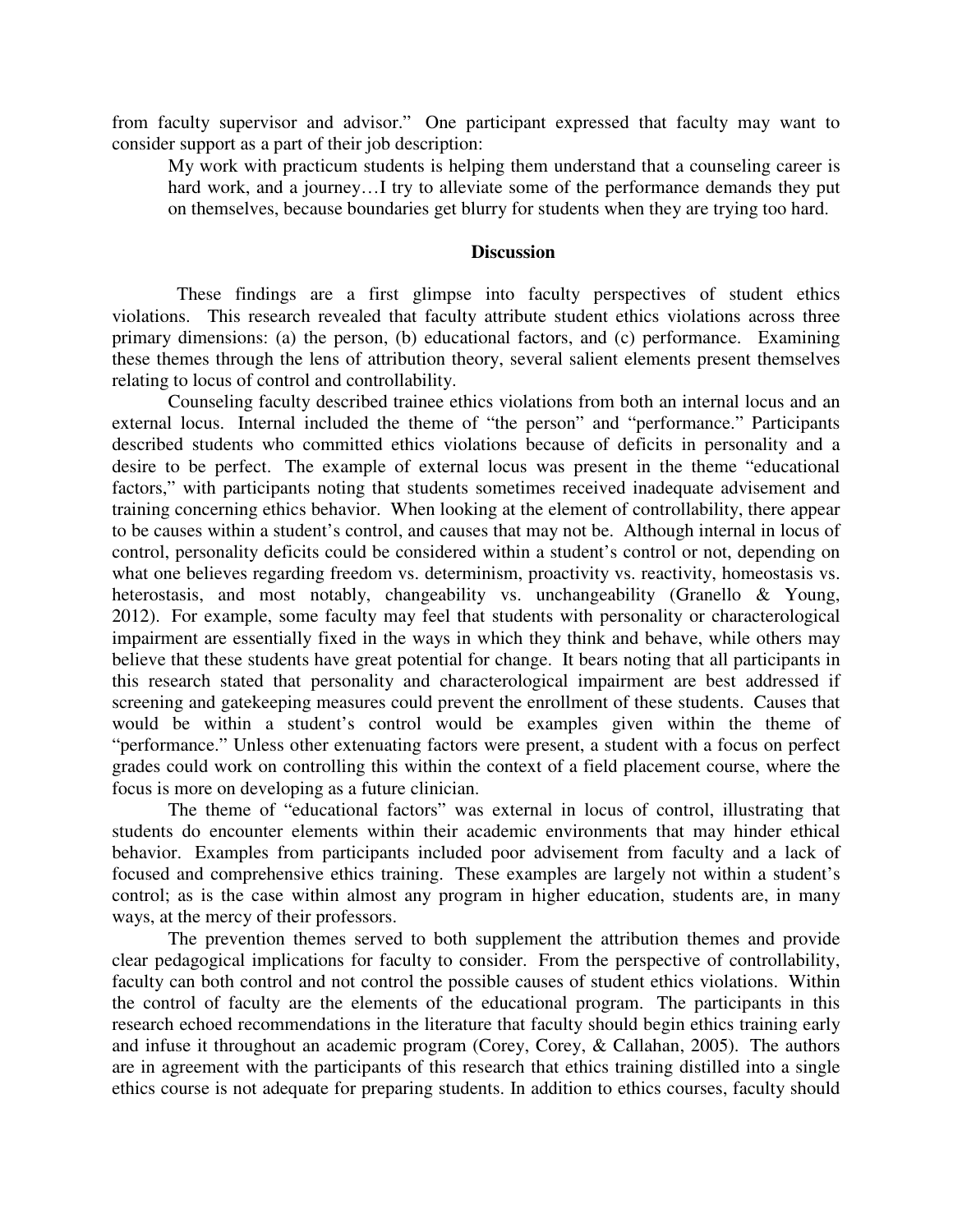from faculty supervisor and advisor." One participant expressed that faculty may want to consider support as a part of their job description:

My work with practicum students is helping them understand that a counseling career is hard work, and a journey...I try to alleviate some of the performance demands they put on themselves, because boundaries get blurry for students when they are trying too hard.

#### **Discussion**

 These findings are a first glimpse into faculty perspectives of student ethics violations. This research revealed that faculty attribute student ethics violations across three primary dimensions: (a) the person, (b) educational factors, and (c) performance. Examining these themes through the lens of attribution theory, several salient elements present themselves relating to locus of control and controllability.

Counseling faculty described trainee ethics violations from both an internal locus and an external locus. Internal included the theme of "the person" and "performance." Participants described students who committed ethics violations because of deficits in personality and a desire to be perfect. The example of external locus was present in the theme "educational factors," with participants noting that students sometimes received inadequate advisement and training concerning ethics behavior. When looking at the element of controllability, there appear to be causes within a student's control, and causes that may not be. Although internal in locus of control, personality deficits could be considered within a student's control or not, depending on what one believes regarding freedom vs. determinism, proactivity vs. reactivity, homeostasis vs. heterostasis, and most notably, changeability vs. unchangeability (Granello & Young, 2012). For example, some faculty may feel that students with personality or characterological impairment are essentially fixed in the ways in which they think and behave, while others may believe that these students have great potential for change. It bears noting that all participants in this research stated that personality and characterological impairment are best addressed if screening and gatekeeping measures could prevent the enrollment of these students. Causes that would be within a student's control would be examples given within the theme of "performance." Unless other extenuating factors were present, a student with a focus on perfect grades could work on controlling this within the context of a field placement course, where the focus is more on developing as a future clinician.

The theme of "educational factors" was external in locus of control, illustrating that students do encounter elements within their academic environments that may hinder ethical behavior. Examples from participants included poor advisement from faculty and a lack of focused and comprehensive ethics training. These examples are largely not within a student's control; as is the case within almost any program in higher education, students are, in many ways, at the mercy of their professors.

The prevention themes served to both supplement the attribution themes and provide clear pedagogical implications for faculty to consider. From the perspective of controllability, faculty can both control and not control the possible causes of student ethics violations. Within the control of faculty are the elements of the educational program. The participants in this research echoed recommendations in the literature that faculty should begin ethics training early and infuse it throughout an academic program (Corey, Corey, & Callahan, 2005). The authors are in agreement with the participants of this research that ethics training distilled into a single ethics course is not adequate for preparing students. In addition to ethics courses, faculty should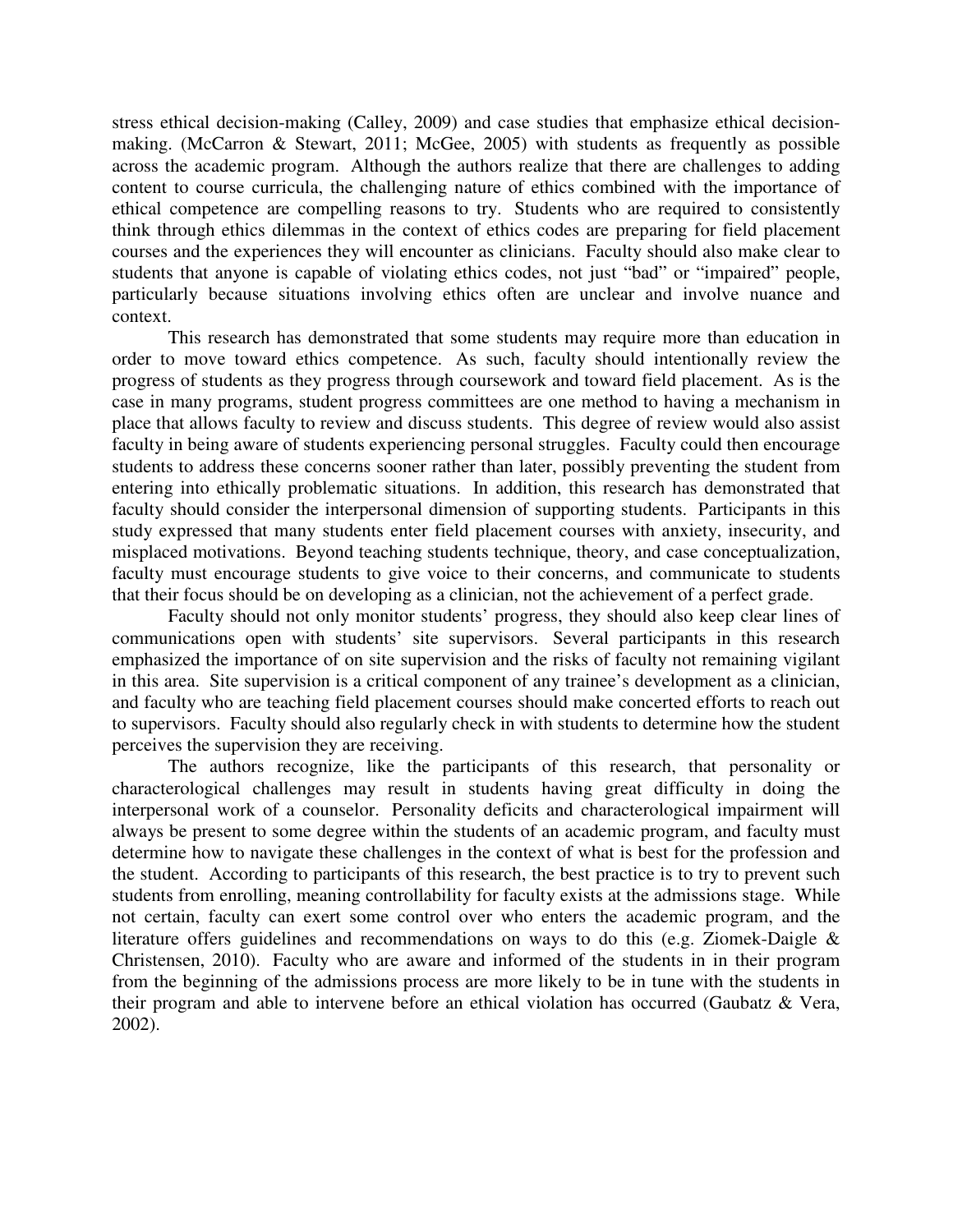stress ethical decision-making (Calley, 2009) and case studies that emphasize ethical decisionmaking. (McCarron & Stewart, 2011; McGee, 2005) with students as frequently as possible across the academic program. Although the authors realize that there are challenges to adding content to course curricula, the challenging nature of ethics combined with the importance of ethical competence are compelling reasons to try. Students who are required to consistently think through ethics dilemmas in the context of ethics codes are preparing for field placement courses and the experiences they will encounter as clinicians. Faculty should also make clear to students that anyone is capable of violating ethics codes, not just "bad" or "impaired" people, particularly because situations involving ethics often are unclear and involve nuance and context.

This research has demonstrated that some students may require more than education in order to move toward ethics competence. As such, faculty should intentionally review the progress of students as they progress through coursework and toward field placement. As is the case in many programs, student progress committees are one method to having a mechanism in place that allows faculty to review and discuss students. This degree of review would also assist faculty in being aware of students experiencing personal struggles. Faculty could then encourage students to address these concerns sooner rather than later, possibly preventing the student from entering into ethically problematic situations. In addition, this research has demonstrated that faculty should consider the interpersonal dimension of supporting students. Participants in this study expressed that many students enter field placement courses with anxiety, insecurity, and misplaced motivations. Beyond teaching students technique, theory, and case conceptualization, faculty must encourage students to give voice to their concerns, and communicate to students that their focus should be on developing as a clinician, not the achievement of a perfect grade.

Faculty should not only monitor students' progress, they should also keep clear lines of communications open with students' site supervisors. Several participants in this research emphasized the importance of on site supervision and the risks of faculty not remaining vigilant in this area. Site supervision is a critical component of any trainee's development as a clinician, and faculty who are teaching field placement courses should make concerted efforts to reach out to supervisors. Faculty should also regularly check in with students to determine how the student perceives the supervision they are receiving.

The authors recognize, like the participants of this research, that personality or characterological challenges may result in students having great difficulty in doing the interpersonal work of a counselor. Personality deficits and characterological impairment will always be present to some degree within the students of an academic program, and faculty must determine how to navigate these challenges in the context of what is best for the profession and the student. According to participants of this research, the best practice is to try to prevent such students from enrolling, meaning controllability for faculty exists at the admissions stage. While not certain, faculty can exert some control over who enters the academic program, and the literature offers guidelines and recommendations on ways to do this (e.g. Ziomek-Daigle & Christensen, 2010). Faculty who are aware and informed of the students in in their program from the beginning of the admissions process are more likely to be in tune with the students in their program and able to intervene before an ethical violation has occurred (Gaubatz & Vera, 2002).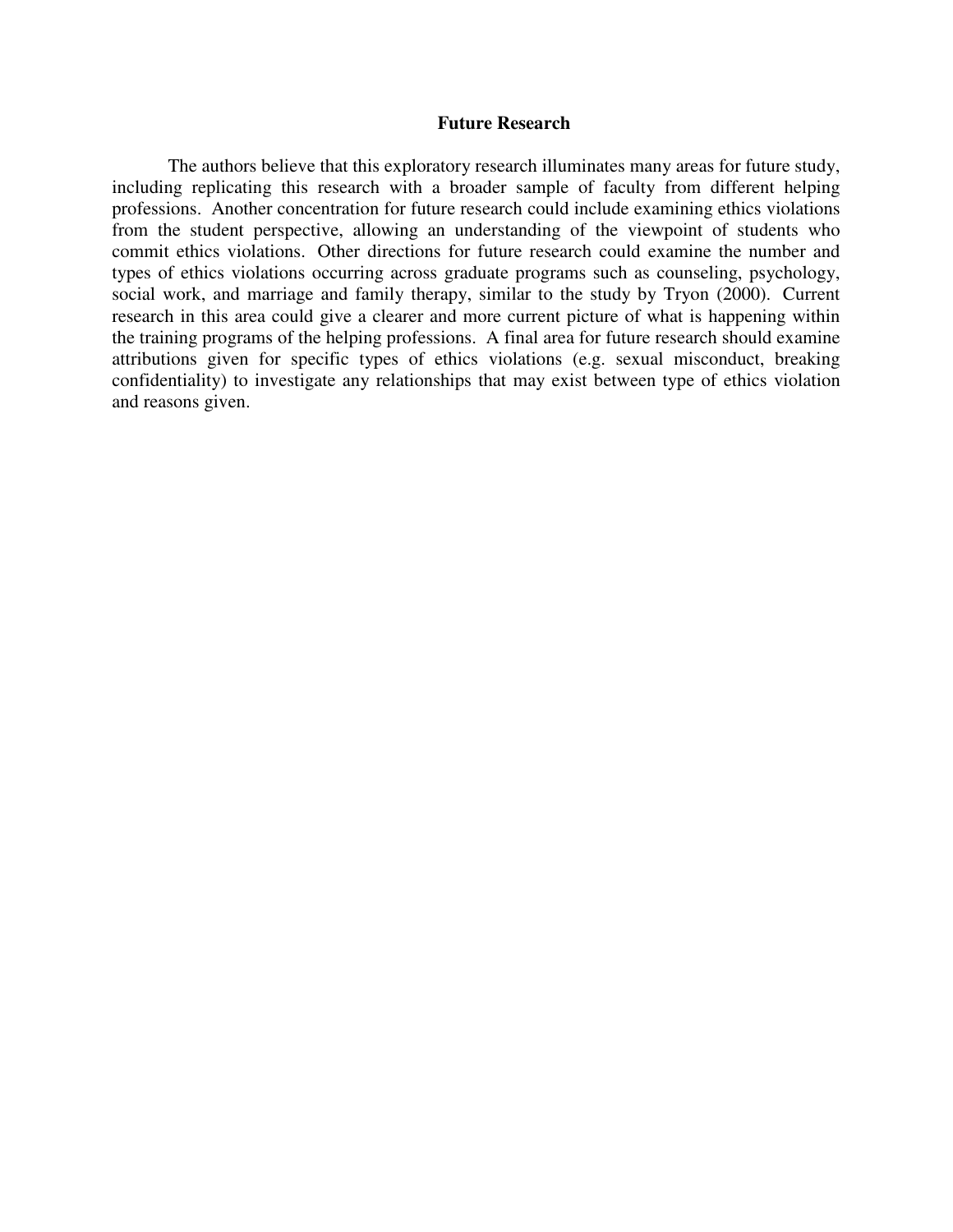#### **Future Research**

 The authors believe that this exploratory research illuminates many areas for future study, including replicating this research with a broader sample of faculty from different helping professions. Another concentration for future research could include examining ethics violations from the student perspective, allowing an understanding of the viewpoint of students who commit ethics violations. Other directions for future research could examine the number and types of ethics violations occurring across graduate programs such as counseling, psychology, social work, and marriage and family therapy, similar to the study by Tryon (2000). Current research in this area could give a clearer and more current picture of what is happening within the training programs of the helping professions. A final area for future research should examine attributions given for specific types of ethics violations (e.g. sexual misconduct, breaking confidentiality) to investigate any relationships that may exist between type of ethics violation and reasons given.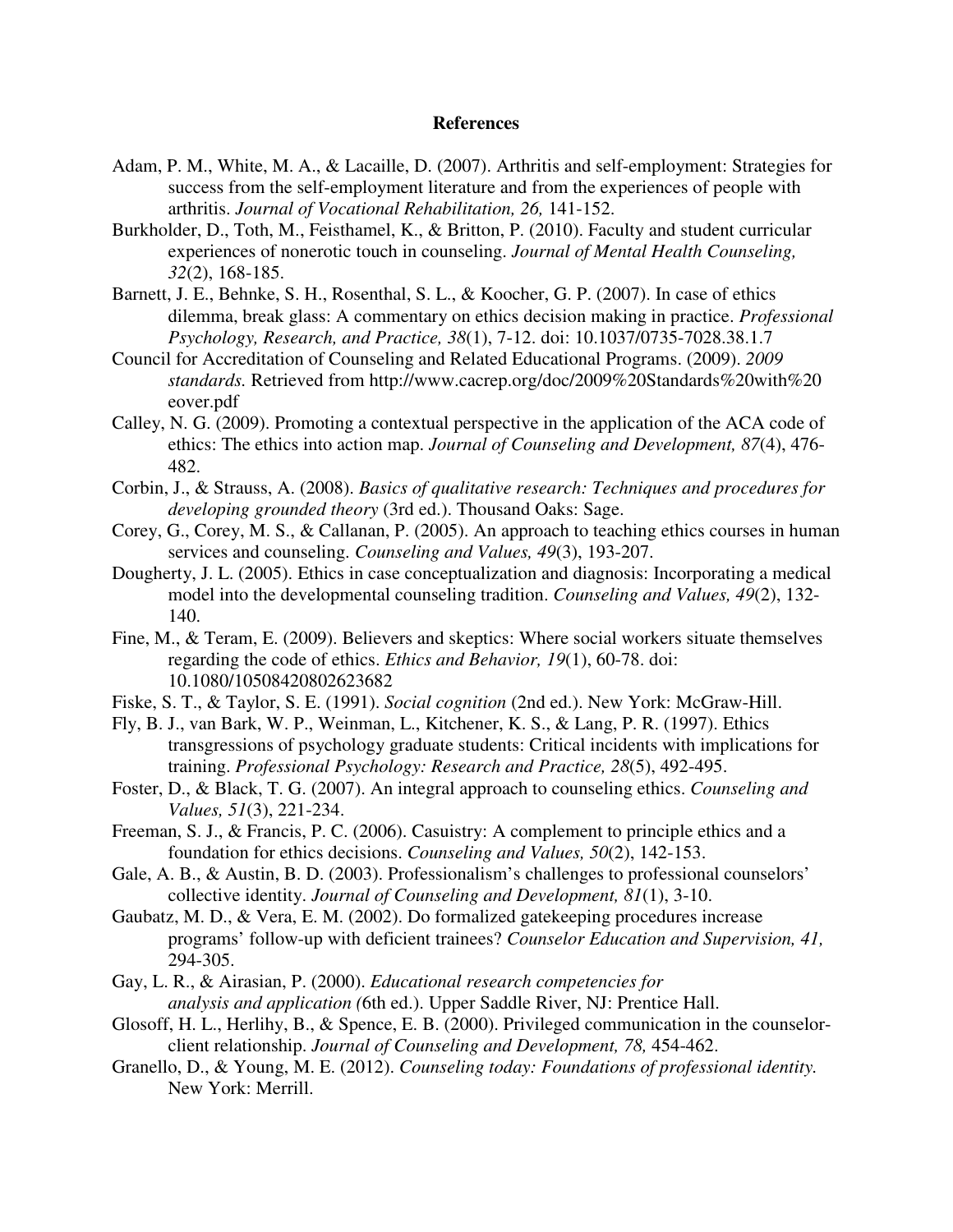#### **References**

- Adam, P. M., White, M. A., & Lacaille, D. (2007). Arthritis and self-employment: Strategies for success from the self-employment literature and from the experiences of people with arthritis. *Journal of Vocational Rehabilitation, 26,* 141-152.
- Burkholder, D., Toth, M., Feisthamel, K., & Britton, P. (2010). Faculty and student curricular experiences of nonerotic touch in counseling. *Journal of Mental Health Counseling, 32*(2), 168-185.
- Barnett, J. E., Behnke, S. H., Rosenthal, S. L., & Koocher, G. P. (2007). In case of ethics dilemma, break glass: A commentary on ethics decision making in practice. *Professional Psychology, Research, and Practice, 38*(1), 7-12. doi: 10.1037/0735-7028.38.1.7
- Council for Accreditation of Counseling and Related Educational Programs. (2009). *2009 standards.* Retrieved from http://www.cacrep.org/doc/2009%20Standards%20with%20 eover.pdf
- Calley, N. G. (2009). Promoting a contextual perspective in the application of the ACA code of ethics: The ethics into action map. *Journal of Counseling and Development, 87*(4), 476- 482.
- Corbin, J., & Strauss, A. (2008). *Basics of qualitative research: Techniques and procedures for developing grounded theory* (3rd ed.). Thousand Oaks: Sage.
- Corey, G., Corey, M. S., & Callanan, P. (2005). An approach to teaching ethics courses in human services and counseling. *Counseling and Values, 49*(3), 193-207.
- Dougherty, J. L. (2005). Ethics in case conceptualization and diagnosis: Incorporating a medical model into the developmental counseling tradition. *Counseling and Values, 49*(2), 132- 140.
- Fine, M., & Teram, E. (2009). Believers and skeptics: Where social workers situate themselves regarding the code of ethics. *Ethics and Behavior, 19*(1), 60-78. doi: 10.1080/10508420802623682
- Fiske, S. T., & Taylor, S. E. (1991). *Social cognition* (2nd ed.). New York: McGraw-Hill.
- Fly, B. J., van Bark, W. P., Weinman, L., Kitchener, K. S., & Lang, P. R. (1997). Ethics transgressions of psychology graduate students: Critical incidents with implications for training. *Professional Psychology: Research and Practice, 28*(5), 492-495.
- Foster, D., & Black, T. G. (2007). An integral approach to counseling ethics. *Counseling and Values, 51*(3), 221-234.
- Freeman, S. J., & Francis, P. C. (2006). Casuistry: A complement to principle ethics and a foundation for ethics decisions. *Counseling and Values, 50*(2), 142-153.
- Gale, A. B., & Austin, B. D. (2003). Professionalism's challenges to professional counselors' collective identity. *Journal of Counseling and Development, 81*(1), 3-10.
- Gaubatz, M. D., & Vera, E. M. (2002). Do formalized gatekeeping procedures increase programs' follow-up with deficient trainees? *Counselor Education and Supervision, 41,* 294-305.
- Gay, L. R., & Airasian, P. (2000). *Educational research competencies for analysis and application (*6th ed.). Upper Saddle River, NJ: Prentice Hall.
- Glosoff, H. L., Herlihy, B., & Spence, E. B. (2000). Privileged communication in the counselorclient relationship. *Journal of Counseling and Development, 78,* 454-462.
- Granello, D., & Young, M. E. (2012). *Counseling today: Foundations of professional identity.* New York: Merrill.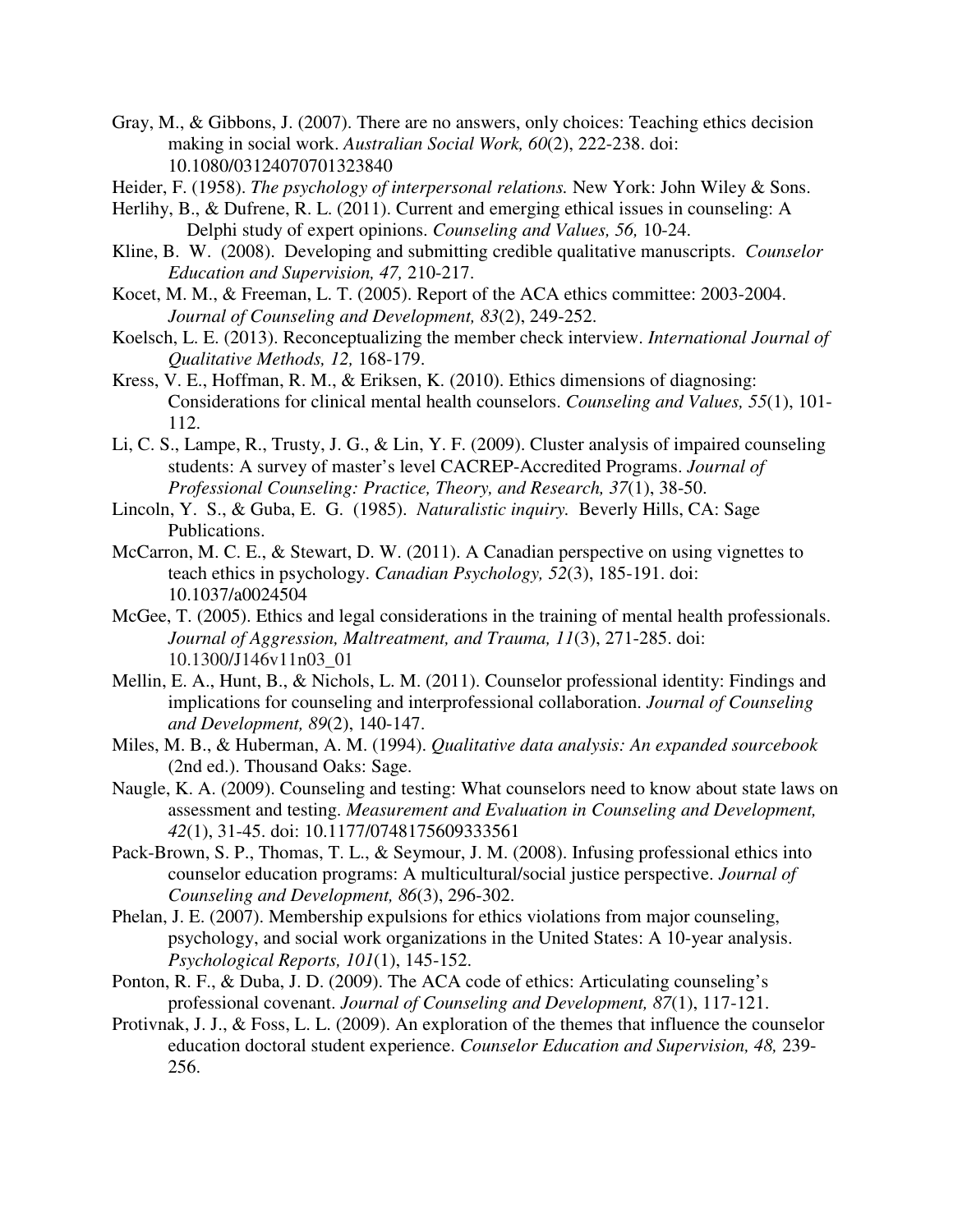- Gray, M., & Gibbons, J. (2007). There are no answers, only choices: Teaching ethics decision making in social work. *Australian Social Work, 60*(2), 222-238. doi: 10.1080/03124070701323840
- Heider, F. (1958). *The psychology of interpersonal relations.* New York: John Wiley & Sons.
- Herlihy, B., & Dufrene, R. L. (2011). Current and emerging ethical issues in counseling: A Delphi study of expert opinions. *Counseling and Values, 56,* 10-24.
- Kline, B. W. (2008). Developing and submitting credible qualitative manuscripts. *Counselor Education and Supervision, 47,* 210-217.
- Kocet, M. M., & Freeman, L. T. (2005). Report of the ACA ethics committee: 2003-2004. *Journal of Counseling and Development, 83*(2), 249-252.
- Koelsch, L. E. (2013). Reconceptualizing the member check interview. *International Journal of Qualitative Methods, 12,* 168-179.
- Kress, V. E., Hoffman, R. M., & Eriksen, K. (2010). Ethics dimensions of diagnosing: Considerations for clinical mental health counselors. *Counseling and Values, 55*(1), 101- 112.
- Li, C. S., Lampe, R., Trusty, J. G., & Lin, Y. F. (2009). Cluster analysis of impaired counseling students: A survey of master's level CACREP-Accredited Programs. *Journal of Professional Counseling: Practice, Theory, and Research, 37*(1), 38-50.
- Lincoln, Y. S., & Guba, E. G. (1985). *Naturalistic inquiry.* Beverly Hills, CA: Sage Publications.
- McCarron, M. C. E., & Stewart, D. W. (2011). A Canadian perspective on using vignettes to teach ethics in psychology. *Canadian Psychology, 52*(3), 185-191. doi: 10.1037/a0024504
- McGee, T. (2005). Ethics and legal considerations in the training of mental health professionals. *Journal of Aggression, Maltreatment, and Trauma, 11*(3), 271-285. doi: 10.1300/J146v11n03\_01
- Mellin, E. A., Hunt, B., & Nichols, L. M. (2011). Counselor professional identity: Findings and implications for counseling and interprofessional collaboration. *Journal of Counseling and Development, 89*(2), 140-147.
- Miles, M. B., & Huberman, A. M. (1994). *Qualitative data analysis: An expanded sourcebook* (2nd ed.). Thousand Oaks: Sage.
- Naugle, K. A. (2009). Counseling and testing: What counselors need to know about state laws on assessment and testing. *Measurement and Evaluation in Counseling and Development, 42*(1), 31-45. doi: 10.1177/0748175609333561
- Pack-Brown, S. P., Thomas, T. L., & Seymour, J. M. (2008). Infusing professional ethics into counselor education programs: A multicultural/social justice perspective. *Journal of Counseling and Development, 86*(3), 296-302.
- Phelan, J. E. (2007). Membership expulsions for ethics violations from major counseling, psychology, and social work organizations in the United States: A 10-year analysis. *Psychological Reports, 101*(1), 145-152.
- Ponton, R. F., & Duba, J. D. (2009). The ACA code of ethics: Articulating counseling's professional covenant. *Journal of Counseling and Development, 87*(1), 117-121.
- Protivnak, J. J., & Foss, L. L. (2009). An exploration of the themes that influence the counselor education doctoral student experience. *Counselor Education and Supervision, 48,* 239- 256.